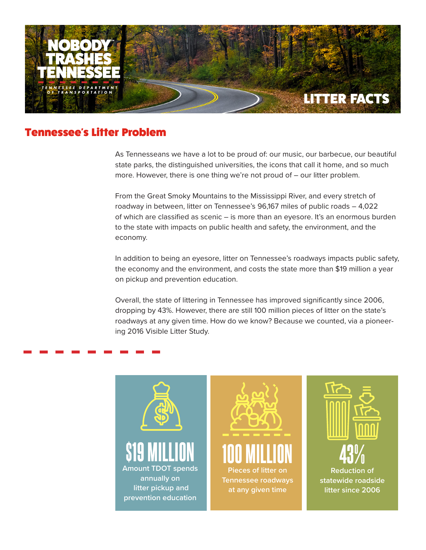

### Tennessee's Litter Problem

As Tennesseans we have a lot to be proud of: our music, our barbecue, our beautiful state parks, the distinguished universities, the icons that call it home, and so much more. However, there is one thing we're not proud of – our litter problem.

From the Great Smoky Mountains to the Mississippi River, and every stretch of roadway in between, litter on Tennessee's 96,167 miles of public roads – 4,022 of which are classified as scenic – is more than an eyesore. It's an enormous burden to the state with impacts on public health and safety, the environment, and the economy.

In addition to being an eyesore, litter on Tennessee's roadways impacts public safety, the economy and the environment, and costs the state more than \$19 million a year on pickup and prevention education.

Overall, the state of littering in Tennessee has improved significantly since 2006, dropping by 43%. However, there are still 100 million pieces of litter on the state's roadways at any given time. How do we know? Because we counted, via a pioneering 2016 Visible Litter Study.

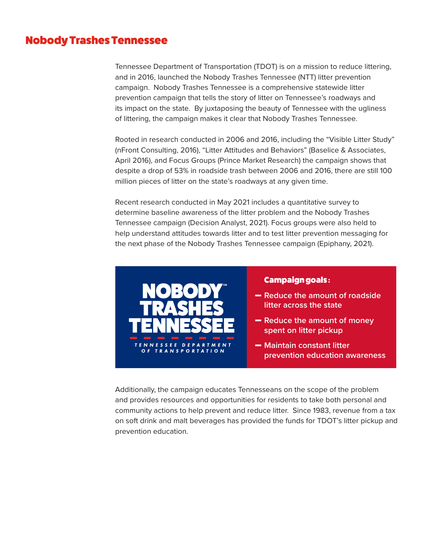### Nobody Trashes Tennessee

Tennessee Department of Transportation (TDOT) is on a mission to reduce littering, and in 2016, launched the Nobody Trashes Tennessee (NTT) litter prevention campaign. Nobody Trashes Tennessee is a comprehensive statewide litter prevention campaign that tells the story of litter on Tennessee's roadways and its impact on the state. By juxtaposing the beauty of Tennessee with the ugliness of littering, the campaign makes it clear that Nobody Trashes Tennessee.

Rooted in research conducted in 2006 and 2016, including the "Visible Litter Study" (nFront Consulting, 2016), "Litter Attitudes and Behaviors" (Baselice & Associates, April 2016), and Focus Groups (Prince Market Research) the campaign shows that despite a drop of 53% in roadside trash between 2006 and 2016, there are still 100 million pieces of litter on the state's roadways at any given time.

Recent research conducted in May 2021 includes a quantitative survey to determine baseline awareness of the litter problem and the Nobody Trashes Tennessee campaign (Decision Analyst, 2021). Focus groups were also held to help understand attitudes towards litter and to test litter prevention messaging for the next phase of the Nobody Trashes Tennessee campaign (Epiphany, 2021).



#### Campaign goals :

- **Reduce the amount of roadside litter across the state**
- **Reduce the amount of money spent on litter pickup**
- $-$  **Maintain constant litter prevention education awareness**

Additionally, the campaign educates Tennesseans on the scope of the problem and provides resources and opportunities for residents to take both personal and community actions to help prevent and reduce litter. Since 1983, revenue from a tax on soft drink and malt beverages has provided the funds for TDOT's litter pickup and prevention education.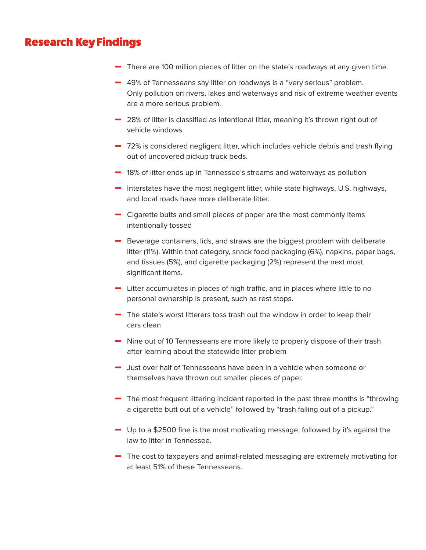## Research Key Findings

- $\blacksquare$  There are 100 million pieces of litter on the state's roadways at any given time.
- **-** 49% of Tennesseans say litter on roadways is a "very serious" problem. Only pollution on rivers, lakes and waterways and risk of extreme weather events are a more serious problem.
- $-$  28% of litter is classified as intentional litter, meaning it's thrown right out of vehicle windows.
- $-72%$  is considered negligent litter, which includes vehicle debris and trash flying out of uncovered pickup truck beds.
- $-$  18% of litter ends up in Tennessee's streams and waterways as pollution
- **Minus Interstates have the most negligent litter, while state highways, U.S. highways,** and local roads have more deliberate litter.
- $\blacksquare$  Cigarette butts and small pieces of paper are the most commonly items intentionally tossed
- **Minus Beverage containers, lids, and straws are the biggest problem with deliberate** litter (11%). Within that category, snack food packaging (6%), napkins, paper bags, and tissues (5%), and cigarette packaging (2%) represent the next most significant items.
- $\blacksquare$  Litter accumulates in places of high traffic, and in places where little to no personal ownership is present, such as rest stops.
- $\blacksquare$  The state's worst litterers toss trash out the window in order to keep their cars clean
- **-** Nine out of 10 Tennesseans are more likely to properly dispose of their trash after learning about the statewide litter problem
- $-$  Just over half of Tennesseans have been in a vehicle when someone or themselves have thrown out smaller pieces of paper.
- $\blacksquare$  The most frequent littering incident reported in the past three months is "throwing a cigarette butt out of a vehicle" followed by "trash falling out of a pickup."
- $\blacksquare$  Up to a \$2500 fine is the most motivating message, followed by it's against the law to litter in Tennessee.
- The cost to taxpayers and animal-related messaging are extremely motivating for at least 51% of these Tennesseans.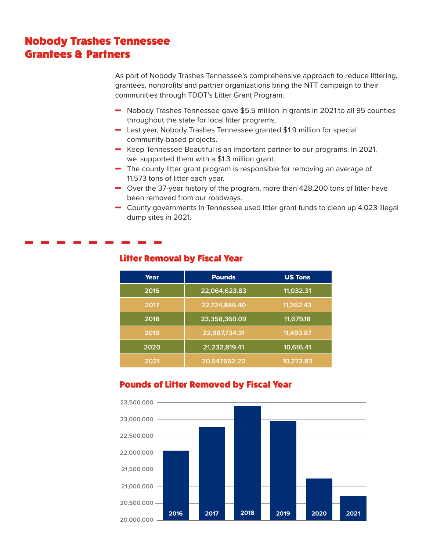# Nobody Trashes Tennessee Grantees & Partners

As part of Nobody Trashes Tennessee's comprehensive approach to reduce littering, grantees, nonprofits and partner organizations bring the NTT campaign to their communities through TDOT's Litter Grant Program.

- Nobody Trashes Tennessee gave \$5.5 million in grants in 2021 to all 95 counties throughout the state for local litter programs.
- **-** Last year, Nobody Trashes Tennessee granted \$1.9 million for special community-based projects.
- **Keep Tennessee Beautiful is an important partner to our programs. In 2021,** we supported them with a \$1.3 million grant.
- $\blacksquare$  The county litter grant program is responsible for removing an average of 11,573 tons of litter each year.
- $\blacksquare$  Over the 37-year history of the program, more than 428,200 tons of litter have been removed from our roadways.
- $\blacksquare$  County governments in Tennessee used litter grant funds to clean up 4,023 illegal dump sites in 2021.

| Year | <b>Pounds</b> | <b>US Tons</b> |
|------|---------------|----------------|
| 2016 | 22,064,623.83 | 11,032.31      |
| 2017 | 22,724,846.40 | 11,362.43      |
| 2018 | 23,358,360.09 | 11,679.18      |
| 2019 | 22,987,734.31 | 11,493.87      |
| 2020 | 21,232,819.41 | 10,616.41      |
| 2021 | 20,547662.20  | 10,273.83      |

#### Litter Removal by Fiscal Year

#### Pounds of Litter Removed by Fiscal Year

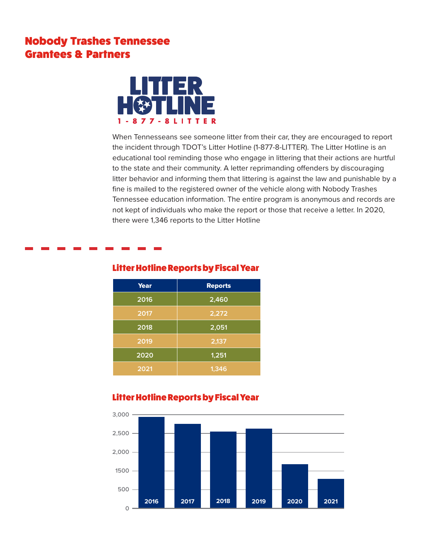## Nobody Trashes Tennessee Grantees & Partners



When Tennesseans see someone litter from their car, they are encouraged to report the incident through TDOT's Litter Hotline (1-877-8-LITTER). The Litter Hotline is an educational tool reminding those who engage in littering that their actions are hurtful to the state and their community. A letter reprimanding offenders by discouraging litter behavior and informing them that littering is against the law and punishable by a fine is mailed to the registered owner of the vehicle along with Nobody Trashes Tennessee education information. The entire program is anonymous and records are not kept of individuals who make the report or those that receive a letter. In 2020, there were 1,346 reports to the Litter Hotline



### Litter Hotline Reports by Fiscal Year

#### Litter Hotline Reports by Fiscal Year